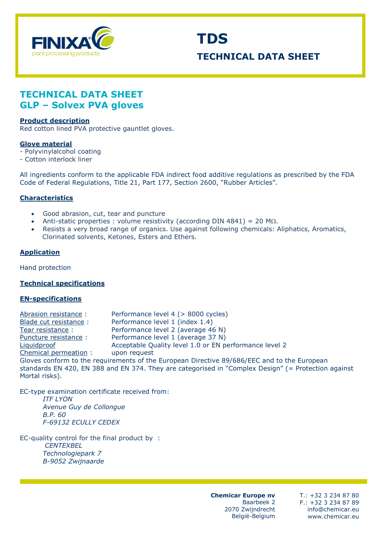

# **TDS TECHNICAL DATA SHEET**

# **TECHNICAL DATA SHEET GLP – Solvex PVA gloves**

#### **Product description**

Red cotton lined PVA protective gauntlet gloves.

#### **Glove material**

- Polyvinylalcohol coating
- Cotton interlock liner

All ingredients conform to the applicable FDA indirect food additive regulations as prescribed by the FDA Code of Federal Regulations, Title 21, Part 177, Section 2600, "Rubber Articles".

#### **Characteristics**

- Good abrasion, cut, tear and puncture
- Anti-static properties : volume resistivity (according DIN 4841) = 20 M $\Omega$ .
- Resists a very broad range of organics. Use against following chemicals: Aliphatics, Aromatics, Clorinated solvents, Ketones, Esters and Ethers.

#### **Application**

Hand protection

## **Technical specifications**

#### **EN-specifications**

Abrasion resistance : Performance level 4 (> 8000 cycles) Blade cut resistance : Performance level 1 (index 1.4)<br>Tear resistance : Performance level 2 (average 46 Performance level 2 (average 46 N) Puncture resistance : Performance level 1 (average 37 N) Liquidproof Acceptable Quality level 1.0 or EN performance level 2 Chemical permeation : upon request Gloves conform to the requirements of the European Directive 89/686/EEC and to the European standards EN 420, EN 388 and EN 374. They are categorised in "Complex Design" (= Protection against Mortal risks).

EC-type examination certificate received from: *ITF LYON Avenue Guy de Collongue B.P. 60 F-69132 ECULLY CEDEX*

EC-quality control for the final product by : *CENTEXBEL Technologiepark 7 B-9052 Zwijnaarde*

> **Chemicar Europe nv**  Baarbeek 2 2070 Zwijndrecht België-Belgium

T.: +32 3 234 87 80 F.: +32 3 234 87 89 info@chemicar.eu www.chemicar.eu